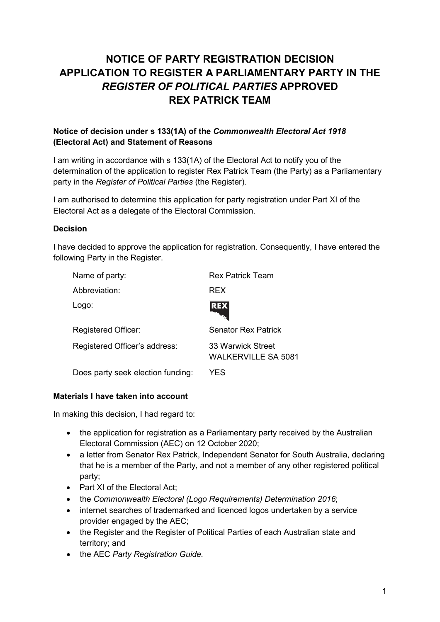# **NOTICE OF PARTY REGISTRATION DECISION APPLICATION TO REGISTER A PARLIAMENTARY PARTY IN THE**  *REGISTER OF POLITICAL PARTIES* **APPROVED REX PATRICK TEAM**

## **Notice of decision under s 133(1A) of the** *Commonwealth Electoral Act 1918* **(Electoral Act) and Statement of Reasons**

I am writing in accordance with s 133(1A) of the Electoral Act to notify you of the determination of the application to register Rex Patrick Team (the Party) as a Parliamentary party in the *Register of Political Parties* (the Register).

I am authorised to determine this application for party registration under Part XI of the Electoral Act as a delegate of the Electoral Commission.

#### **Decision**

I have decided to approve the application for registration. Consequently, I have entered the following Party in the Register.

| Name of party:                    | <b>Rex Patrick Team</b>                         |
|-----------------------------------|-------------------------------------------------|
| Abbreviation:                     | <b>REX</b>                                      |
| Logo:                             | <b>REX</b>                                      |
| <b>Registered Officer:</b>        | <b>Senator Rex Patrick</b>                      |
| Registered Officer's address:     | 33 Warwick Street<br><b>WALKERVILLE SA 5081</b> |
| Does party seek election funding: | YES                                             |

#### **Materials I have taken into account**

In making this decision, I had regard to:

- the application for registration as a Parliamentary party received by the Australian Electoral Commission (AEC) on 12 October 2020;
- a letter from Senator Rex Patrick, Independent Senator for South Australia, declaring that he is a member of the Party, and not a member of any other registered political party;
- Part XI of the Electoral Act;
- the *Commonwealth Electoral (Logo Requirements) Determination 2016*;
- internet searches of trademarked and licenced logos undertaken by a service provider engaged by the AEC;
- the Register and the Register of Political Parties of each Australian state and territory; and
- the AEC *Party Registration Guide.*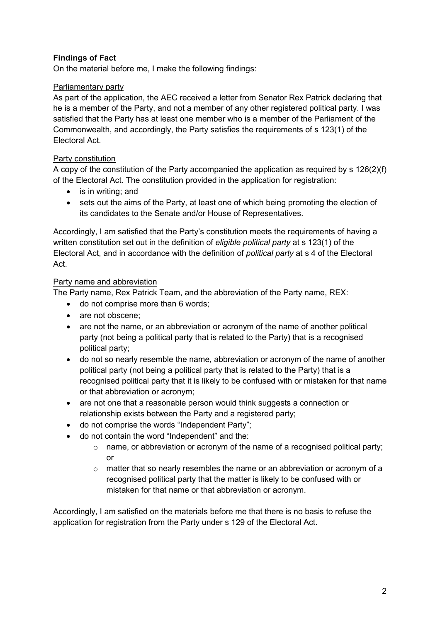# **Findings of Fact**

On the material before me, I make the following findings:

## Parliamentary party

As part of the application, the AEC received a letter from Senator Rex Patrick declaring that he is a member of the Party, and not a member of any other registered political party. I was satisfied that the Party has at least one member who is a member of the Parliament of the Commonwealth, and accordingly, the Party satisfies the requirements of s 123(1) of the Electoral Act.

## Party constitution

A copy of the constitution of the Party accompanied the application as required by s 126(2)(f) of the Electoral Act. The constitution provided in the application for registration:

- is in writing; and
- sets out the aims of the Party, at least one of which being promoting the election of its candidates to the Senate and/or House of Representatives.

Accordingly, I am satisfied that the Party's constitution meets the requirements of having a written constitution set out in the definition of *eligible political party* at s 123(1) of the Electoral Act, and in accordance with the definition of *political party* at s 4 of the Electoral Act.

## Party name and abbreviation

The Party name, Rex Patrick Team, and the abbreviation of the Party name, REX:

- do not comprise more than 6 words;
- are not obscene:
- are not the name, or an abbreviation or acronym of the name of another political party (not being a political party that is related to the Party) that is a recognised political party;
- do not so nearly resemble the name, abbreviation or acronym of the name of another political party (not being a political party that is related to the Party) that is a recognised political party that it is likely to be confused with or mistaken for that name or that abbreviation or acronym;
- are not one that a reasonable person would think suggests a connection or relationship exists between the Party and a registered party;
- do not comprise the words "Independent Party";
- do not contain the word "Independent" and the:
	- o name, or abbreviation or acronym of the name of a recognised political party; or
	- $\circ$  matter that so nearly resembles the name or an abbreviation or acronym of a recognised political party that the matter is likely to be confused with or mistaken for that name or that abbreviation or acronym.

Accordingly, I am satisfied on the materials before me that there is no basis to refuse the application for registration from the Party under s 129 of the Electoral Act.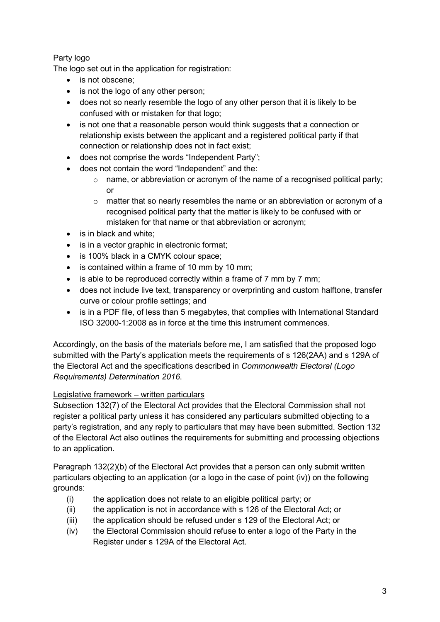## Party logo

The logo set out in the application for registration:

- is not obscene:
- is not the logo of any other person;
- does not so nearly resemble the logo of any other person that it is likely to be confused with or mistaken for that logo;
- is not one that a reasonable person would think suggests that a connection or relationship exists between the applicant and a registered political party if that connection or relationship does not in fact exist;
- does not comprise the words "Independent Party";
- does not contain the word "Independent" and the:
	- $\circ$  name, or abbreviation or acronym of the name of a recognised political party; or
	- o matter that so nearly resembles the name or an abbreviation or acronym of a recognised political party that the matter is likely to be confused with or mistaken for that name or that abbreviation or acronym;
- is in black and white:
- is in a vector graphic in electronic format:
- is 100% black in a CMYK colour space;
- is contained within a frame of 10 mm by 10 mm;
- is able to be reproduced correctly within a frame of 7 mm by 7 mm;
- does not include live text, transparency or overprinting and custom halftone, transfer curve or colour profile settings; and
- is in a PDF file, of less than 5 megabytes, that complies with International Standard ISO 32000-1:2008 as in force at the time this instrument commences.

Accordingly, on the basis of the materials before me, I am satisfied that the proposed logo submitted with the Party's application meets the requirements of s 126(2AA) and s 129A of the Electoral Act and the specifications described in *Commonwealth Electoral (Logo Requirements) Determination 2016*.

## Legislative framework – written particulars

Subsection 132(7) of the Electoral Act provides that the Electoral Commission shall not register a political party unless it has considered any particulars submitted objecting to a party's registration, and any reply to particulars that may have been submitted. Section 132 of the Electoral Act also outlines the requirements for submitting and processing objections to an application.

Paragraph 132(2)(b) of the Electoral Act provides that a person can only submit written particulars objecting to an application (or a logo in the case of point (iv)) on the following grounds:

- (i) the application does not relate to an eligible political party; or
- (ii) the application is not in accordance with s 126 of the Electoral Act; or
- (iii) the application should be refused under s 129 of the Electoral Act; or
- (iv) the Electoral Commission should refuse to enter a logo of the Party in the Register under s 129A of the Electoral Act.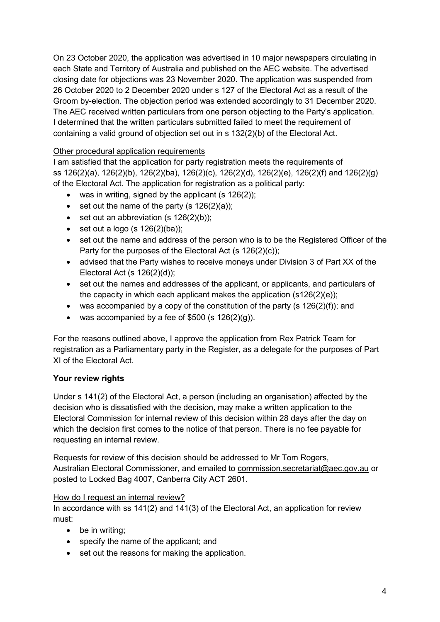On 23 October 2020, the application was advertised in 10 major newspapers circulating in each State and Territory of Australia and published on the AEC website. The advertised closing date for objections was 23 November 2020. The application was suspended from 26 October 2020 to 2 December 2020 under s 127 of the Electoral Act as a result of the Groom by-election. The objection period was extended accordingly to 31 December 2020. The AEC received written particulars from one person objecting to the Party's application. I determined that the written particulars submitted failed to meet the requirement of containing a valid ground of objection set out in s 132(2)(b) of the Electoral Act.

## Other procedural application requirements

I am satisfied that the application for party registration meets the requirements of ss 126(2)(a), 126(2)(b), 126(2)(ba), 126(2)(c), 126(2)(d), 126(2)(e), 126(2)(f) and 126(2)(g) of the Electoral Act. The application for registration as a political party:

- was in writing, signed by the applicant  $(s 126(2))$ ;
- set out the name of the party  $(s 126(2)(a))$ ;
- set out an abbreviation  $(s 126(2)(b))$ ;
- set out a logo (s  $126(2)(ba)$ );
- set out the name and address of the person who is to be the Registered Officer of the Party for the purposes of the Electoral Act (s 126(2)(c));
- advised that the Party wishes to receive moneys under Division 3 of Part XX of the Electoral Act (s 126(2)(d));
- set out the names and addresses of the applicant, or applicants, and particulars of the capacity in which each applicant makes the application (s126(2)(e));
- was accompanied by a copy of the constitution of the party (s  $126(2)(f)$ ); and
- was accompanied by a fee of  $$500$  (s  $126(2)(q)$ ).

For the reasons outlined above, I approve the application from Rex Patrick Team for registration as a Parliamentary party in the Register, as a delegate for the purposes of Part XI of the Electoral Act.

## **Your review rights**

Under s 141(2) of the Electoral Act, a person (including an organisation) affected by the decision who is dissatisfied with the decision, may make a written application to the Electoral Commission for internal review of this decision within 28 days after the day on which the decision first comes to the notice of that person. There is no fee payable for requesting an internal review.

Requests for review of this decision should be addressed to Mr Tom Rogers, Australian Electoral Commissioner, and emailed to commission.secretariat@aec.gov.au or posted to Locked Bag 4007, Canberra City ACT 2601.

#### How do I request an internal review?

In accordance with ss 141(2) and 141(3) of the Electoral Act, an application for review must:

- be in writing;
- specify the name of the applicant; and
- set out the reasons for making the application.